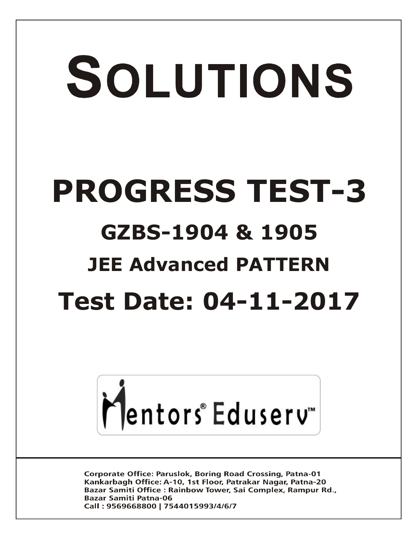# SOLUTIONS **PROGRESS TEST-3 GZBS-1904 & 1905 JEE Advanced PATTERN Test Date: 04-11-2017**



**Corporate Office: Paruslok, Boring Road Crossing, Patna-01** Kankarbagh Office: A-10, 1st Floor, Patrakar Nagar, Patna-20 Bazar Samiti Office: Rainbow Tower, Sai Complex, Rampur Rd., **Bazar Samiti Patna-06** Call: 9569668800 | 7544015993/4/6/7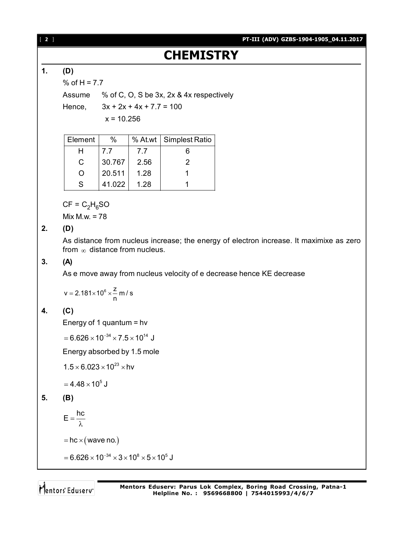## **CHEMISTRY**

### **1. (D)**

% of  $H = 7.7$ 

Assume % of C, O, S be 3x, 2x & 4x respectively

Hence,  $3x + 2x + 4x + 7.7 = 100$ 

 $x = 10.256$ 

| Element          | $\%$   |      | % At.wt   Simplest Ratio |
|------------------|--------|------|--------------------------|
|                  | 7.7    | 7.7  | 6                        |
| C                | 30.767 | 2.56 | 2                        |
| $\left( \right)$ | 20.511 | 1.28 |                          |
| S                | 41.022 | 1.28 |                          |

 $CF = C<sub>2</sub>H<sub>6</sub>SO$ 

Mix M.w. = 78

#### **2. (D)**

As distance from nucleus increase; the energy of electron increase. It maximixe as zero from  $\infty$  distance from nucleus.

#### **3. (A)**

As e move away from nucleus velocity of e decrease hence KE decrease

$$
v = 2.181 \times 10^6 \times \frac{z}{n} \text{ m/s}
$$

### **4. (C)**

Energy of 1 quantum = hv

 $= 6.626 \times 10^{-34} \times 7.5 \times 10^{14}$  J

Energy absorbed by 1.5 mole

 $1.5 \times 6.023 \times 10^{23} \times$ hv

 $= 4.48 \times 10^{5}$  J

#### **5. (B)**

 $E = \frac{hc}{\lambda}$ λ

 $=$  hc  $\times$  (wave no.)

 $=6.626 \times 10^{-34} \times 3 \times 10^8 \times 5 \times 10^5$  J

Mentors Eduserv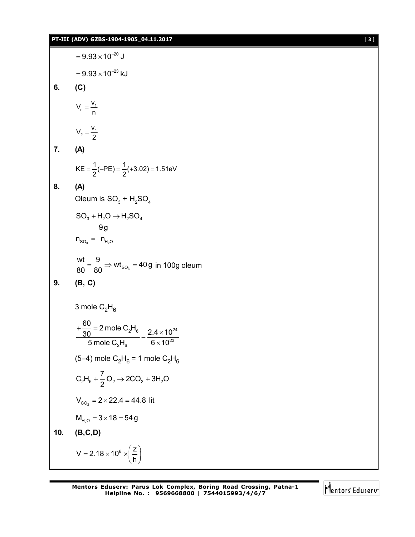#### **PT-III (ADV) GZBS-1904-1905\_04.11.2017** [ **3** ]

 $= 9.93 \times 10^{-20}$  J  $= 9.93 \times 10^{-23}$  kJ **6. (C)**  $n = \frac{1}{n}$  $V_n = \frac{V_1}{n}$  $\frac{1}{2} = \frac{1}{2}$  $V_2 = \frac{V_1}{2}$ **7. (A)**  $KE = \frac{1}{2}(-PE) = \frac{1}{2}(+3.02) = 1.51eV$ **8. (A)** Oleum is  $\mathsf{SO}_3^+$  +  $\mathsf{H}_2\mathsf{SO}_4^+$  $n_{SO_3} = n_{H_2O}$  $SO_3 + H_2O \rightarrow H_2SO_4$ 9g  $\frac{wt}{\rho} = \frac{9}{\rho_0} \Rightarrow wt_{\rho_0} = 40g$  $\frac{\text{m}}{80} = \frac{3}{80}$   $\Rightarrow$  wt<sub>so<sub>3</sub></sub> = 40g in 100g oleum **9. (B, C)** 3 mole  $C_2H_6$  $2^{\mathsf{1}}$ 6 2 4  $\times$  10<sup>24</sup>  $_{2}H_{6}$  6  $\times$  10<sup>23</sup>  $\frac{60}{20}$  = 2 mole C<sub>2</sub>H  $\frac{30}{20}$  – 2 mole  $\frac{6}{2}$   $\frac{16}{6}$  –  $\frac{2.4 \times 10}{2}$ 5 mole  $\text{C}_2\text{H}_{6}$  6  $\times$  10  $+\frac{80}{30}$  = 2 mole C<sub>2</sub>H<sub>6</sub><br> $-\frac{2.4 \times}{2.1}$  $\times$ (5–4) mole  $\rm C_2H_6$  = 1 mole  $\rm C_2H_6$  $2^{11}6$   $\rightarrow$  2  $2^{12}$   $\sim$  200  $\frac{1}{2}$  $C_2H_6 + \frac{7}{2}O_2 \rightarrow 2CO_2 + 3H_2O$ 2  $+\frac{1}{2}O_2 \rightarrow 2CO_2 + 3$  $V_{CO_2}$  = 2  $\times$  22.4 = 44.8 lit  $M_{H_2O} = 3 \times 18 = 54 g$ **10. (B,C,D)**  $V = 2.18 \times 10^6 \times \left(\frac{Z}{I}\right)$ h  $=2.18\times10^{6} \times \left(\frac{z}{h}\right)$ 

$$
\bigg| \bigg| \bigg| \text{entors}^* \text{Eduser} \big|
$$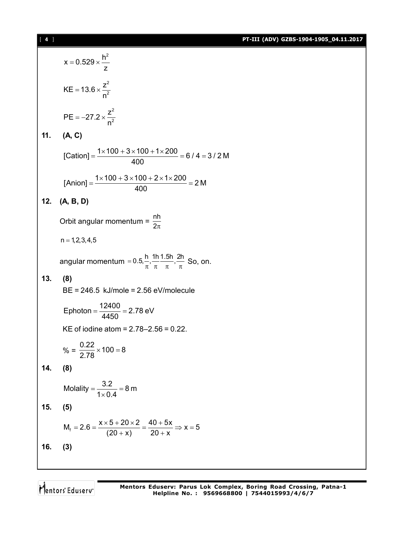|  | PT-III (ADV) GZBS-1904-1905 04.11.2017 |
|--|----------------------------------------|
|--|----------------------------------------|

|     | $x = 0.529 \times \frac{h^2}{z}$                                                                   |
|-----|----------------------------------------------------------------------------------------------------|
|     | $KE = 13.6 \times \frac{Z^2}{n^2}$                                                                 |
|     | $PE = -27.2 \times \frac{Z^2}{n^2}$                                                                |
|     | 11. (A, C)                                                                                         |
|     | [Cation] = $\frac{1 \times 100 + 3 \times 100 + 1 \times 200}{400}$ = 6 / 4 = 3 / 2 M              |
|     | $[ \text{Anion}] = \frac{1 \times 100 + 3 \times 100 + 2 \times 1 \times 200}{400} = 2 \text{ M}$  |
|     | 12. (A, B, D)                                                                                      |
|     | Orbit angular momentum = $\frac{nh}{2\pi}$                                                         |
|     | $n = 1, 2, 3, 4, 5$                                                                                |
|     | angular momentum = $0.5, \frac{h}{\pi}, \frac{1h}{\pi}, \frac{1.5h}{\pi}, \frac{2h}{\pi}$ So, on.  |
| 13. | (8)                                                                                                |
|     | $BE = 246.5$ kJ/mole = 2.56 eV/molecule                                                            |
|     | Ephoton = $\frac{12400}{4450}$ = 2.78 eV                                                           |
|     | KE of iodine atom = $2.78 - 2.56 = 0.22$ .                                                         |
|     | % = $\frac{0.22}{2.78} \times 100 = 8$                                                             |
| 14. | (8)                                                                                                |
|     | Molality = $\frac{3.2}{1 \times 0.4}$ = 8 m                                                        |
| 15. | (5)                                                                                                |
|     | $M_f = 2.6 = \frac{x \times 5 + 20 \times 2}{(20 + x)} = \frac{40 + 5x}{20 + x} \Rightarrow x = 5$ |
| 16. | (3)                                                                                                |
|     |                                                                                                    |

Mentors<sup>e</sup> Eduserv<sup>-</sup>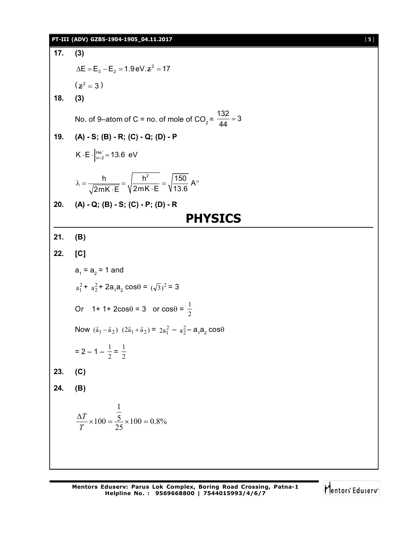#### **PT-III (ADV) GZBS-1904-1905\_04.11.2017** [ **5** ]

**17. (3)**  $\Delta E = E_3 - E_2 = 1.9 \text{ eV} \cdot z^2 = 17$  $(z^2 = 3)$ **18. (3)** No. of 9–atom of C = no. of mole of CO<sub>2</sub> =  $\frac{132}{44}$  = 3 44  $=$ **19. (A) - S; (B) - R; (C) - Q; (D) - P**  $K \cdot E \cdot \Big|_{n=2}^{He^+} = 13.6$  eV  $\cdot$  E  $\cdot \Big|_{n=2}^{n}$  = 1  $\frac{h}{\sqrt{2h}} = \sqrt{\frac{h^2}{2(1.60 \text{ A})^2}} = \sqrt{\frac{150}{12.8 \text{ A}}}$ 2mK E V2mK E V13.6  $\lambda = \frac{1}{\sqrt{2(1-x^2)}} = \sqrt{\frac{1}{2(1-x^2)}} = \sqrt{\frac{1}{100}}$ ·E ∖2mK∙ **20. (A) - Q; (B) - S; (C) - P; (D) - R PHYSICS 21. (B) 22. [C]**  $a_{_1}$  =  $a_{_2}$  = 1 and  $a_1^2 + a_2^2 + 2a_1a_2 \cos\theta = (\sqrt{3})^2 = 3$ Or  $1+1+2\cos\theta = 3$  or  $\cos\theta = \frac{1}{2}$ 1 Now  $(\vec{a}_1 - \vec{a}_2)$   $(2\vec{a}_1 + \vec{a}_2) = 2a_1^2 - a_2^2 - a_1a_2 \cos\theta$  $= 2 - 1 - \frac{1}{2} = \frac{1}{2}$ **23. (C) 24. (B)**  $100 = 0.8\%$ 25 5 1  $\frac{\Delta T}{T} \times 100 = \frac{5}{25} \times 100 =$ *T T*

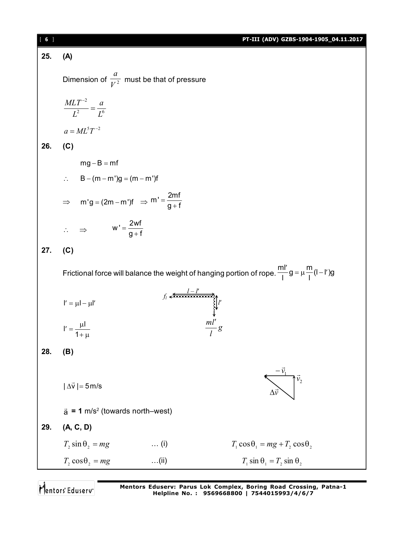| [6] |                                                                     |                                                                                | PT-III (ADV) GZBS-1904-1905_04.11.2017                                                                               |
|-----|---------------------------------------------------------------------|--------------------------------------------------------------------------------|----------------------------------------------------------------------------------------------------------------------|
| 25. | (A)                                                                 |                                                                                |                                                                                                                      |
|     | Dimension of $\frac{a}{V^2}$ must be that of pressure               |                                                                                |                                                                                                                      |
|     | $\frac{MLT^{-2}}{L^2} = \frac{a}{I^6}$                              |                                                                                |                                                                                                                      |
|     | $a = ML^{5}T^{-2}$                                                  |                                                                                |                                                                                                                      |
| 26. | (C)                                                                 |                                                                                |                                                                                                                      |
|     | $mg - B = mf$                                                       |                                                                                |                                                                                                                      |
|     | $\therefore$ B – (m – m')g = (m – m')f                              |                                                                                |                                                                                                                      |
|     | $\Rightarrow$ m'g = (2m - m')f $\Rightarrow$ m' = $\frac{2mf}{g+f}$ |                                                                                |                                                                                                                      |
|     | $\therefore \Rightarrow$ $W' = \frac{2Wf}{g+f}$                     |                                                                                |                                                                                                                      |
| 27. | (C)                                                                 |                                                                                |                                                                                                                      |
|     |                                                                     |                                                                                | Frictional force will balance the weight of hanging portion of rope. $\frac{m l'}{l} g = \mu \frac{m}{l} (l - l') g$ |
|     | $I' = \mu I - \mu I'$                                               | $f_i \xleftarrow{l-l'}$<br>$\downarrow l'$<br>$\downarrow$<br>$\frac{ml'}{l}g$ |                                                                                                                      |
|     | $I' = \frac{\mu I}{1 + \mu}$                                        |                                                                                |                                                                                                                      |
| 28. | (B)                                                                 |                                                                                |                                                                                                                      |
|     | $ \Delta \vec{v} $ = 5 m/s                                          |                                                                                | $\vec{v}_2$                                                                                                          |
|     | $\vec{a}$ = 1 m/s <sup>2</sup> (towards north–west)                 |                                                                                |                                                                                                                      |
| 29. | (A, C, D)                                                           |                                                                                |                                                                                                                      |
|     | $T_2 \sin \theta_2 = mg$<br>$\ldots$ (i)                            |                                                                                | $T_1 \cos \theta_1 = mg + T_2 \cos \theta_2$                                                                         |
|     | $T_2 \cos\theta_2 = mg$<br>$\ldots$ (ii)                            |                                                                                | $T_1 \sin \theta_1 = T_2 \sin \theta_2$                                                                              |

Mentors<sup>®</sup> Eduserv<sup>®</sup>

**Mentors Eduserv: Parus Lok Complex, Boring Road Crossing, Patna-1 Helpline No. : 9569668800 | 7544015993/4/6/7**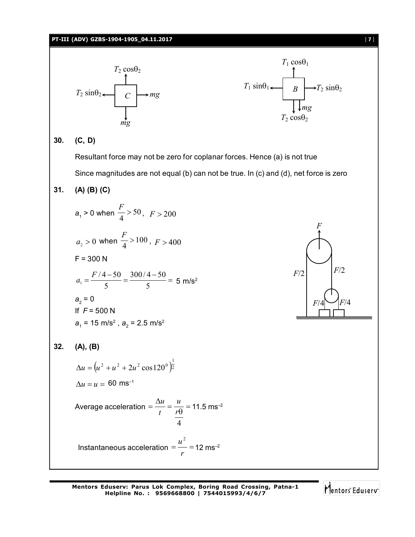

Mentors Eduserv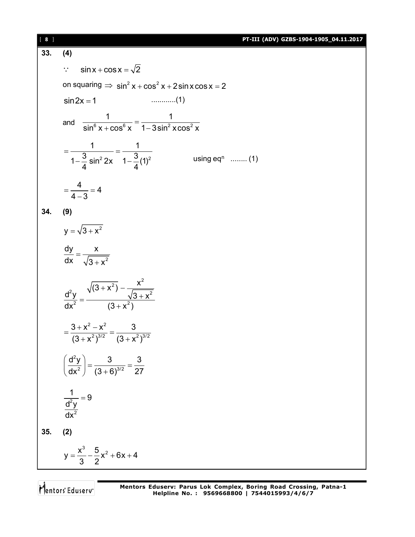| [8] | PT-III (ADV) GZBS-1904-1905_04.11.2017                                                |
|-----|---------------------------------------------------------------------------------------|
| 33. | (4)                                                                                   |
|     | $\sin x + \cos x = \sqrt{2}$<br>$\mathbb{R}^{\mathbb{Z}_2}$                           |
|     | on squaring $\Rightarrow$ sin <sup>2</sup> x + cos <sup>2</sup> x + 2 sin x cos x = 2 |
|     | $sin 2x = 1$                                                                          |
|     | and $\frac{1}{\sin^6 x + \cos^6 x} = \frac{1}{1 - 3\sin^2 x \cos^2 x}$                |
|     | $=\frac{1}{1-\frac{3}{4}\sin^2 2x}=\frac{1}{1-\frac{3}{4}(1)^2}$<br>using $eq^n$ (1)  |
|     | $=\frac{4}{4-3}=4$                                                                    |
| 34. | (9)                                                                                   |
|     | $y = \sqrt{3 + x^2}$                                                                  |
|     | $\frac{dy}{dx} = \frac{x}{\sqrt{3 + x^2}}$                                            |
|     | $\frac{d^2y}{dx^2} = \frac{\sqrt{(3 + x^2)} - \frac{x^2}{\sqrt{3 + x^2}}}{(3 + x^2)}$ |
|     | $=\frac{3+x^2-x^2}{(3+x^2)^{3/2}}=\frac{3}{(3+x^2)^{3/2}}$                            |
|     | $\left(\frac{d^2y}{dx^2}\right) = \frac{3}{(3+6)^{3/2}} = \frac{3}{27}$               |
|     | $\frac{1}{\frac{d^2y}{dx^2}} = 9$                                                     |
| 35. | (2)                                                                                   |
|     | $y = \frac{x^3}{3} - \frac{5}{2}x^2 + 6x + 4$                                         |

Mentors<sup>®</sup> Eduserv<sup>®</sup>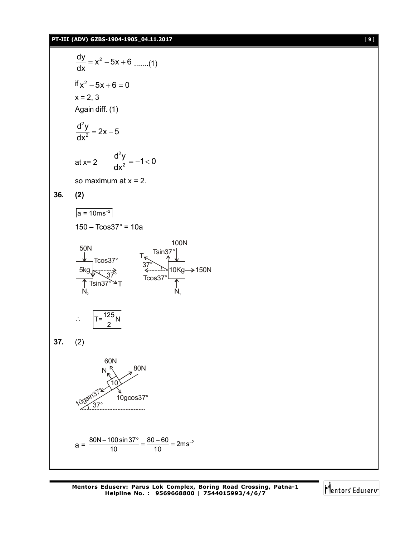#### **PT-III (ADV) GZBS-1904-1905\_04.11.2017** [ **9** ]

$$
\frac{dy}{dx} = x^2 - 5x + 6 \dots (1)
$$
\nif  $x^2 - 5x + 6 = 0$   
\n $x = 2, 3$   
\nAgain diff. (1)  
\n
$$
\frac{d^2y}{dx^2} = 2x - 5
$$
\nat  $x = 2$   $\frac{d^2y}{dx^2} = -1 < 0$   
\nso maximum at  $x = 2$ .  
\n36. (2)  
\n
$$
\frac{a = 10ms^{-2}}{a = 10ms^{-2}}
$$
\n150 - Tcos37° = 10a  
\n50N  
\n
$$
\frac{1}{5} \cdot \frac{1}{3} \cdot \frac{1}{3} \cdot \frac{1}{3} \cdot \frac{1}{3} \cdot \frac{1}{3} \cdot \frac{1}{3} \cdot \frac{1}{3} \cdot \frac{1}{3} \cdot \frac{1}{3} \cdot \frac{1}{3} \cdot \frac{1}{3} \cdot \frac{1}{3} \cdot \frac{1}{3} \cdot \frac{1}{3} \cdot \frac{1}{3} \cdot \frac{1}{3} \cdot \frac{1}{3} \cdot \frac{1}{3} \cdot \frac{1}{3} \cdot \frac{1}{3} \cdot \frac{1}{3} \cdot \frac{1}{3} \cdot \frac{1}{3} \cdot \frac{1}{3} \cdot \frac{1}{3} \cdot \frac{1}{3} \cdot \frac{1}{3} \cdot \frac{1}{3} \cdot \frac{1}{3} \cdot \frac{1}{3} \cdot \frac{1}{3} \cdot \frac{1}{3} \cdot \frac{1}{3} \cdot \frac{1}{3} \cdot \frac{1}{3} \cdot \frac{1}{3} \cdot \frac{1}{3} \cdot \frac{1}{3} \cdot \frac{1}{3} \cdot \frac{1}{3} \cdot \frac{1}{3} \cdot \frac{1}{3} \cdot \frac{1}{3} \cdot \frac{1}{3} \cdot \frac{1}{3} \cdot \frac{1}{3} \cdot \frac{1}{3} \cdot \frac{1}{3} \cdot \frac{1}{3} \cdot \frac{1}{3} \cdot \frac{1}{3} \cdot \frac{1}{3} \cdot \frac{1}{3} \cdot \frac{1}{3} \cdot \frac{1}{3} \cdot \frac{1}{3} \cdot \frac{1}{3} \cdot \frac{1}{3} \cdot \frac{1}{3} \cdot
$$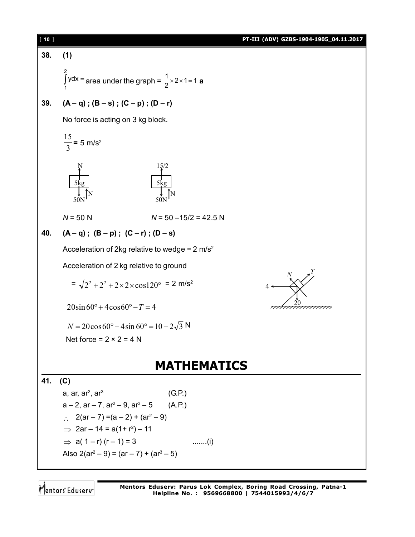

Mentors Eduserv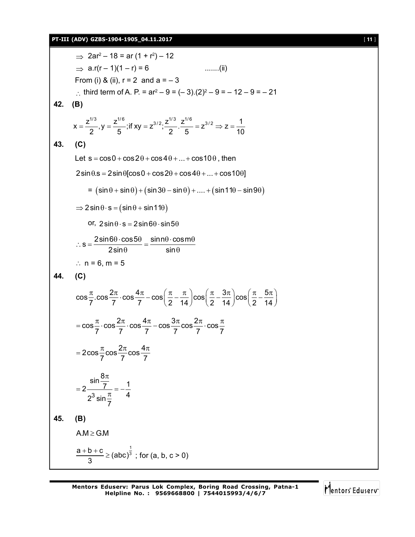#### **PT-III (ADV) GZBS-1904-1905\_04.11.2017** [ **11** ]

 $\Rightarrow$  2ar<sup>2</sup> – 18 = ar (1 + r<sup>2</sup>) – 12  $\Rightarrow$  a.r(r – 1)(1 – r) = 6 .......(ii) From (i) & (ii),  $r = 2$  and  $a = -3$ : third term of A. P. =  $ar^2 - 9 = (-3)(2)^2 - 9 = -12 - 9 = -21$ **42. (B)**  $x = \frac{z^{1/3}}{2}$ ,  $y = \frac{z^{1/6}}{2}$ ; if  $xy = z^{3/2}$ ;  $\frac{z^{1/3}}{2}$ ,  $\frac{z^{1/6}}{z^{1/6}} = z^{3/2} \Rightarrow z = \frac{1}{1.2}$  $2^{2}$  5  $2^{2}$  5  $10$  $=\frac{2}{\epsilon}$ , y =  $\frac{2}{\epsilon}$ ; if xy =  $z^{3/2}$ ;  $\frac{2}{\epsilon}$ .  $\frac{2}{\epsilon}$  =  $z^{3/2} \Rightarrow z = -$ **43. (C)** Let  $s = cos 0 + cos 2\theta + cos 4\theta + ... + cos 10\theta$ , then  $2\sin\theta$ .s =  $2\sin\theta$ [cos0 + cos2 $\theta$  + cos4 $\theta$  + ... + cos10 $\theta$ ]  $=$   $(\sin \theta + \sin \theta) + (\sin 3\theta - \sin \theta) + \dots + (\sin 11\theta - \sin 9\theta)$  $\Rightarrow$  2 sin  $\theta \cdot$  s = (sin  $\theta$  + sin 11 $\theta$ ) or,  $2\sin\theta \cdot s = 2\sin 6\theta \cdot \sin 5\theta$  $s = \frac{2\sin 6\theta \cdot \cos 5\theta}{2 \cdot 2 \cdot 2} = \frac{\sin n\theta \cdot \cos m}{2 \cdot 2 \cdot 3}$  $2\sin\theta$  sin  $\therefore$  s =  $\frac{2\sin 6\theta \cdot \cos 5\theta}{2\sin 6\theta} = \frac{\sin n\theta \cdot \cos m\theta}{n\sin n\theta}$  $\theta$  sin $\theta$ :  $n = 6$ ,  $m = 5$ **44. (C)**  $\cos\frac{\pi}{2} \cdot \cos\frac{2\pi}{7} \cdot \cos\frac{4\pi}{7} - \cos\left(\frac{\pi}{2} - \frac{\pi}{11}\right) \cos\left(\frac{\pi}{2} - \frac{3\pi}{11}\right) \cos\left(\frac{\pi}{2} - \frac{5\pi}{11}\right)$  $7^{111}$   $7^{111}$   $7^{111}$   $(2 \t14)^{11}$   $(2 \t14)^{11}$   $(2 \t14)^{11}$  $\frac{\pi}{7}$ .cos $\frac{2\pi}{7}$ .cos $\frac{4\pi}{7}$  - cos $\left(\frac{\pi}{2} - \frac{\pi}{14}\right)$ cos $\left(\frac{\pi}{2} - \frac{3\pi}{14}\right)$ cos $\left(\frac{\pi}{2} - \frac{5\pi}{14}\right)$  $\cos\frac{\pi}{2} \cdot \cos\frac{2\pi}{2} \cdot \cos\frac{4\pi}{2} - \cos\frac{3\pi}{2} \cos\frac{2\pi}{2} \cdot \cos\frac{\pi}{2}$ 7 7 7 7 7 7  $=\cos{\frac{\pi}{2}}\cdot\cos{\frac{2\pi}{2}}\cdot\cos{\frac{4\pi}{2}}-\cos{\frac{3\pi}{2}}\cos{\frac{2\pi}{2}}\cdot\cos{\frac{\pi}{2}}$  $2\cos{\frac{\pi}{2}}\cos{\frac{2\pi}{2}}\cos{\frac{4\pi}{2}}$ 7 7 7  $=2\cos{\frac{\pi}{2}}\cos{\frac{2\pi}{2}}\cos{\frac{4\pi}{2}}$ 3  $\frac{\sin \frac{8\pi}{7}}{2 \frac{1}{2}} = -\frac{1}{4}$  $2^3 \sin \frac{\pi}{7}$  4 7  $\pi$  $=2\frac{1}{2^3\sin\pi}=-\frac{1}{4}$ **45. (B)**  $A.M \ge G.M$ 1  $\frac{a+b+c}{2}$   $\geq$  (abc)<sup> $\frac{1}{3}$ </sup> 3  $\frac{+b+c}{2}$  ≥ (abc)<sup>3</sup>; for (a, b, c > 0)

Mentors Eduserv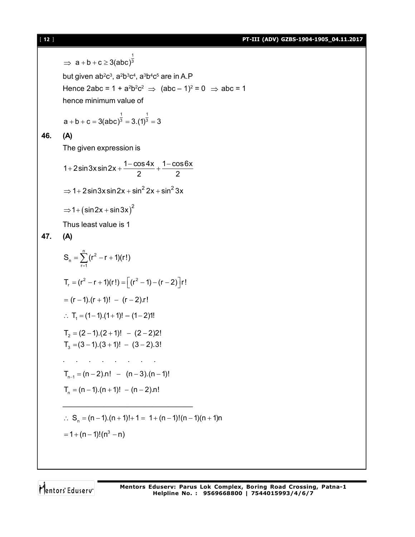[ **12** ] **PT-III (ADV) GZBS-1904-1905\_04.11.2017**

⇒ 
$$
a + b + c ≥ 3(abc)^{\frac{1}{3}}
$$
  
\nbut given  $ab^2c^3$ ,  $a^2b^3c^4$ ,  $a^3b^4c^5$  are in A.P  
\nHence  $2abc = 1 + a^2b^2c^2$  ⇒  $(abc - 1)^2 = 0$  ⇒  $abc = 1$   
\nhence minimum value of  
\n $a + b + c = 3(abc)^{\frac{1}{3}} = 3.(1)^{\frac{1}{3}} = 3$   
\n46. (A)  
\nThe given expression is  
\n $1 + 2sin3x sin 2x + \frac{1 - cos4x}{2} + \frac{1 - cos6x}{2}$   
\n⇒  $1 + 2sin3x sin 2x + sin^2 2x + sin^2 3x$   
\n⇒  $1 + (sin2x + sin3x)^2$   
\nThus least value is 1  
\n47. (A)  
\n $S_n = \sum_{r=1}^n (r^2 - r + 1)(r!)$   
\n $T_r = (r^2 - r + 1)(r!) = [(r^2 - 1) - (r - 2)]r!$   
\n $= (r - 1).(r + 1)! - (r - 2)!$   
\n∴  $T_r = (1 - 1).(r + 1)! - (1 - 2)!!$   
\n $T_2 = (2 - 1).(2 + 1)! - (2 - 2)2!$   
\n $T_3 = (3 - 1).(3 + 1)! - (3 - 2).3!$   
\n $\dots$   
\n $T_{n-1} = (n - 2).n! - (n - 3).(n - 1)!$   
\n $T_n = (n - 1).(n + 1)! - (n - 2).n!$   
\n $\frac{1}{n} = (n - 1).(n + 1)! + 1 = 1 + (n - 1)!(n - 1)(n + 1)n$   
\n $= 1 + (n - 1)!(n^3 - n)$ 

Mentors<sup>e</sup> Eduserv<sup>-</sup>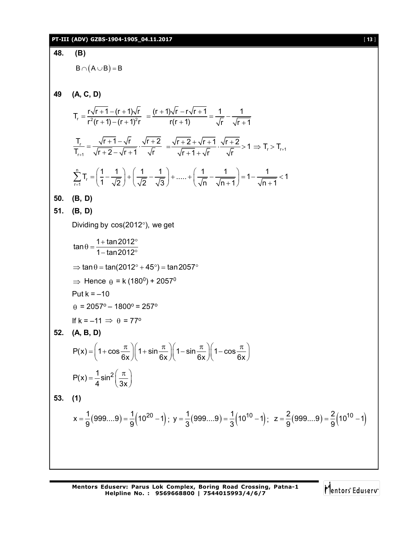**48. (B)**  $B \cap (A \cup B) = B$ **49 (A, C, D)**  $T_r = \frac{r\sqrt{r+1}-(r+1)\sqrt{r}}{r^2(r+1)(r+1)^2r}$  $r^2(r + 1) - (r + 1)^2r$  $=\frac{r\sqrt{r+1}-(r+1)}{2(r+1)}$  $+1$ ) – (r + 1  $(r + 1)\sqrt{r} - r\sqrt{r} + 1$  1 1  $r(r + 1)$   $\sqrt{r}$   $\sqrt{r + 1}$  $=\frac{(r+1)\sqrt{r-r}\sqrt{r+1}}{r}=\frac{1}{r}$  $+1$ )  $\sqrt{r}$   $\sqrt{r}$  + r r+1  $T_r$   $\sqrt{r+1} - \sqrt{r}$   $\sqrt{r+2}$  $T_{r+1}$   $\sqrt{r+2} - \sqrt{r+1}$   $\sqrt{r}$  $=\frac{\sqrt{r+1}-\sqrt{r}}{\sqrt{r+1}}\cdot\frac{\sqrt{r+2}}{\sqrt{r+1}}$  $\frac{(r+1-\sqrt{r})}{r+2-\sqrt{r}+1}\cdot\frac{\sqrt{r}+2}{\sqrt{r}} = \frac{\sqrt{r}+2+\sqrt{r}+1}{\sqrt{r}+1+\sqrt{r}}\cdot\frac{\sqrt{r}+2}{\sqrt{r}} > 1 \Rightarrow T_r > T_{r+1}$  $r+1+\sqrt{r}$   $\sqrt{r}$   $\sqrt{r}$   $\sqrt{r}$   $\sqrt{r}$  $=\frac{\sqrt{r}+2+\sqrt{r}+1}{\sqrt{r}}\cdot\frac{\sqrt{r}+2}{\sqrt{r}}>1 \Rightarrow T_{r}>^{-1}$  $+1 + 1$ n ∠ 'r<br>r=1  $T_{\rm r} = \left(\frac{1}{7} - \frac{1}{\sqrt{2}}\right) + \left(\frac{1}{\sqrt{2}} - \frac{1}{\sqrt{2}}\right) + \dots + \left(\frac{1}{\sqrt{2}} - \frac{1}{\sqrt{2}}\right) = 1 - \frac{1}{\sqrt{2}} < 1$  $\vec{r}$  (1  $\sqrt{2}$ )  $\sqrt{2}$   $\sqrt{3}$ )  $\sqrt{n}$   $\sqrt{n+1}$   $\sqrt{n+1}$  $\sum_{r=1}^{n} T_r = \left(\frac{1}{1} - \frac{1}{\sqrt{2}}\right) + \left(\frac{1}{\sqrt{2}} - \frac{1}{\sqrt{3}}\right) + \dots + \left(\frac{1}{\sqrt{n}} - \frac{1}{\sqrt{n+1}}\right) = 1 - \frac{1}{\sqrt{n+1}} < 1$ **50. (B, D) 51. (B, D)** Dividing by  $cos(2012^\circ)$ , we get  $\tan \theta = \frac{1 + \tan 2012}{1 + \tan 2012}$  $1 - tan 2012$  $\theta = \frac{1 + \tan 2012^{\circ}}{1 + \cos 2012^{\circ}}$ – tan2012°  $\Rightarrow$  tan  $\theta$  = tan(2012 $\degree$  + 45 $\degree$ ) = tan 2057 $\degree$  $\Rightarrow$  Hence  $\theta$  = k (180 $^0$ ) + 2057 $^0$ Put  $k = -10$  $\theta$  = 2057° – 1800° = 257° If  $k = -11 \implies \theta = 77^\circ$ **52. (A, B, D)**  $P(x) = 1 + \cos \frac{\pi}{2}$  | 1 + sin  $\frac{\pi}{2}$  | 1 - sin  $\frac{\pi}{2}$  | 1 - cos  $6x$   $\left(\begin{array}{ccc} 6x & 6x \end{array}\right)$   $6x$   $\left(\begin{array}{ccc} 6x & 6x & 6x \end{array}\right)$  $=\left(1+\cos\frac{\pi}{6x}\right)\left(1+\sin\frac{\pi}{6x}\right)\left(1-\sin\frac{\pi}{6x}\right)\left(1-\cos\frac{\pi}{6x}\right)$  $P(x) = \frac{1}{2} \sin^2$ 4 3x  $=\frac{1}{4}\sin^2\left(\frac{\pi}{3x}\right)$ **53. (1)**  $x = \frac{1}{9}(999...9) = \frac{1}{9}(10^{20} - 1);$  $=$   $\frac{1}{9}(999...9)$  $=$   $\frac{1}{9}(10^{20}-1)$ ;  $y = \frac{1}{3}(999...9)$  $=$   $\frac{1}{3}(10^{10}-1)$ ;  $=$   $\frac{1}{3}(999...9)$   $=$   $\frac{1}{3}(10^{10}-1)$ ;  $z = \frac{2}{9}(999...9)$   $=$   $\frac{2}{9}(10^{10}-1)$  $9'$  9  $=\frac{2}{6}(999...9)=\frac{2}{6}(10^{10}-1)$ 

Mentors<sup>®</sup> Eduserv<sup>®</sup>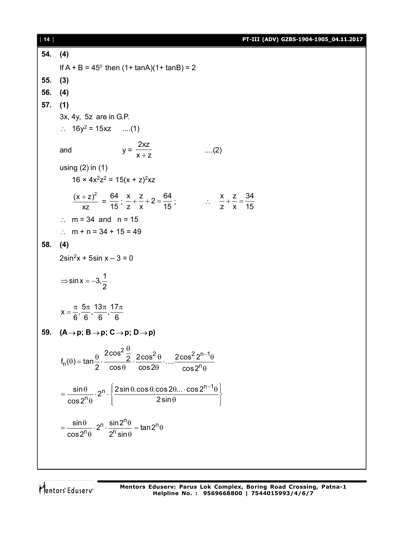**54. (4)** If  $A + B = 45^{\circ}$  then (1+ tanA)(1+ tanB) = 2 **55. (3) 56. (4) 57. (1)** 3x, 4y, 5z are in G.P.  $\therefore$  16y<sup>2</sup> = 15xz ....(1) and  $y =$ 2xz  $x + z$ ....(2) using (2) in (1)  $16 \times 4x^2z^2 = 15(x + z)^2xz$  $(x + z)^2$ xz  $\frac{+Z)^2}{\sqrt{2}}$  = 64  $\frac{1}{15}$ ;  $\frac{x}{-} + \frac{z}{-} + 2 = \frac{64}{15}$  $\frac{x}{z} + \frac{z}{x} + 2 = \frac{64}{15}$ ;  $\therefore \frac{x}{z} + \frac{z}{x} = \frac{34}{15}$ z x 15  $+ - = -$ :  $m = 34$  and  $n = 15$ :  $m + n = 34 + 15 = 49$ **58. (4)**  $2\sin^2 x + 5\sin x - 3 = 0$  $\sin x = -3, \frac{1}{2}$ 2  $\Rightarrow$  sin x =  $-3$  $x = \frac{\pi}{2}, \frac{5\pi}{2}, \frac{13\pi}{2}, \frac{17\pi}{2}$ 6 **6 6** 6  $=\frac{\pi}{6}, \frac{5\pi}{6}, \frac{13\pi}{6}, \frac{17\pi}{6}$ 59.  $(A \rightarrow p; B \rightarrow p; C \rightarrow p; D \rightarrow p)$  $2\frac{0}{2}$  2 cos<sup>2</sup> 2 2 cos<sup>2</sup> 2<sup>n-1</sup>  $n^{(0)}$  = latter  $\frac{n}{2}$  cos  $\theta$  cos  $2\theta$  cos  $2^{n}$  $f_n(\theta) = \tan \frac{\theta}{2} \cdot \frac{2\cos^2 \frac{\theta}{2}}{2 \cdot 2\cos^2 \theta} \cdot ... \cdot \frac{2\cos^2 2^{\theta}}{2\cos^2 \theta}$ 2  $\cos\theta$   $\cos2\theta$   $\cos2$  $\frac{\theta}{2}$  2000<sup>2</sup>  $\theta$  2000<sup>2</sup> 2<sup>n-</sup>  $\theta$ ) = tan  $\frac{\theta}{2}$ .  $\frac{2\cos^2\theta}{2}$ .  $\frac{2\cos^2\theta}{2}$ .  $\frac{2\cos^2 2^{11} \theta}{2}$  $\theta$  cos2 $\theta$  cos2<sup>n</sup> $\theta$  $_{\sf n}$   $\int$  2 sin  $0.$  cos  $0.$  cos 2 $0.$   $\ldots$  cos 2 $^{\sf n-1}$  (  $\frac{\sin \theta}{\cos 2^n}$ .  $2^n \cdot \left\{ \frac{2 \sin \theta \cdot \cos \theta \cdot \cos 2\theta \dots \cdot \cos 2\theta}{2 \sin \theta} \right\}$  $\cos 2^{\mathsf{n}} \theta$  2sin  $=\frac{\sin\theta}{2^0} \cdot 2^n \cdot \left\{ \frac{2\sin\theta \cdot \cos\theta \cdot \cos 2\theta \dots \cdot \cos 2^{n-1}\theta}{2\sin\theta} \right\}$  $\theta$   $\begin{pmatrix} 2\sin\theta & \cdots & \cdots \end{pmatrix}$  $n \cdot \frac{\sin 2^n \theta}{1} - \tan 2^n$  $\frac{\sin\theta}{\cos 2^n \theta} \cdot 2^n \cdot \frac{\sin 2^n \theta}{2^n \sin \theta} = \tan 2$  $\cos 2^n \theta$  2<sup>n</sup> sin  $=\frac{\sin\theta}{2} \cdot 2^{n} \cdot \frac{\sin 2^{n}\theta}{2} = \tan 2^{n}\theta$  $\theta$  2<sup> $\theta$ </sup>sin $\theta$ 

Mentors<sup>®</sup> Eduserv<sup>®</sup>